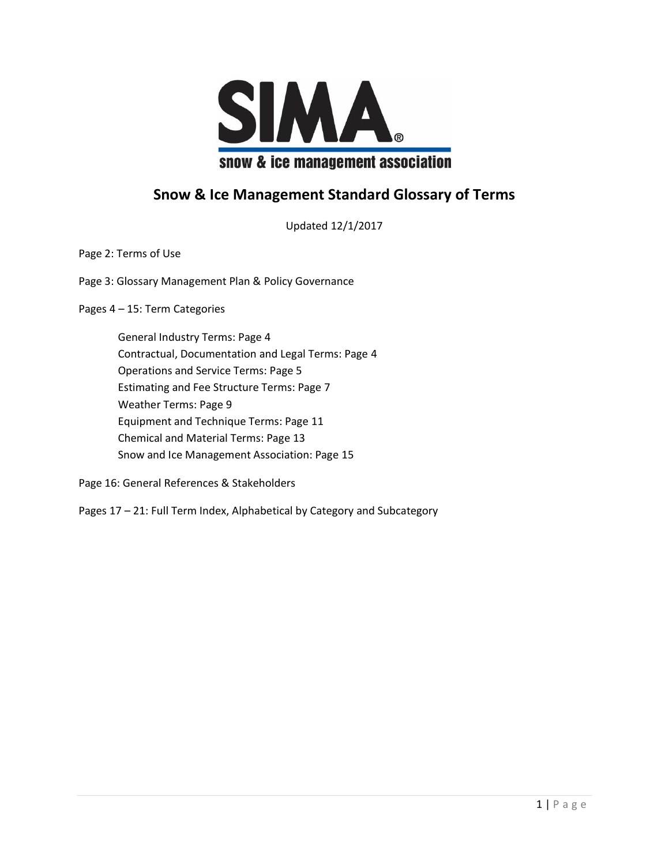

#### **Snow & Ice Management Standard Glossary of Terms**

Updated 12/1/2017

Page 2: Terms of Use

Page 3: Glossary Management Plan & Policy Governance

Pages 4 – 15: Term Categories

General Industry Terms: Page 4 Contractual, Documentation and Legal Terms: Page 4 Operations and Service Terms: Page 5 Estimating and Fee Structure Terms: Page 7 Weather Terms: Page 9 Equipment and Technique Terms: Page 11 Chemical and Material Terms: Page 13 Snow and Ice Management Association: Page 15

Page 16: General References & Stakeholders

Pages 17 – 21: Full Term Index, Alphabetical by Category and Subcategory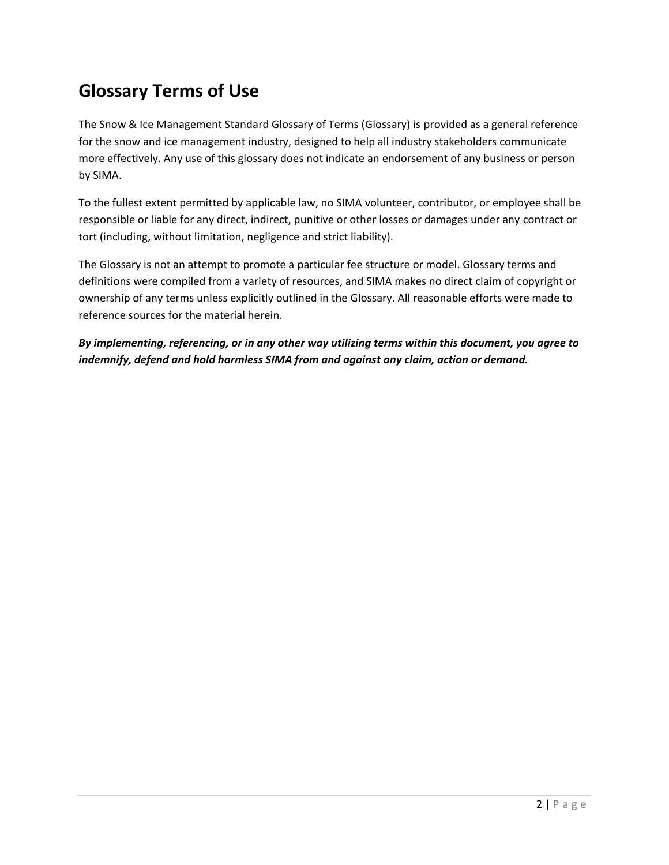# **Glossary Terms of Use**

The Snow & Ice Management Standard Glossary of Terms (Glossary) is provided as a general reference for the snow and ice management industry, designed to help all industry stakeholders communicate more effectively. Any use of this glossary does not indicate an endorsement of any business or person by SIMA.

To the fullest extent permitted by applicable law, no SIMA volunteer, contributor, or employee shall be responsible or liable for any direct, indirect, punitive or other losses or damages under any contract or tort (including, without limitation, negligence and strict liability).

The Glossary is not an attempt to promote a particular fee structure or model. Glossary terms and definitions were compiled from a variety of resources, and SIMA makes no direct claim of copyright or ownership of any terms unless explicitly outlined in the Glossary. All reasonable efforts were made to reference sources for the material herein.

*By implementing, referencing, or in any other way utilizing terms within this document, you agree to indemnify, defend and hold harmless SIMA from and against any claim, action or demand.*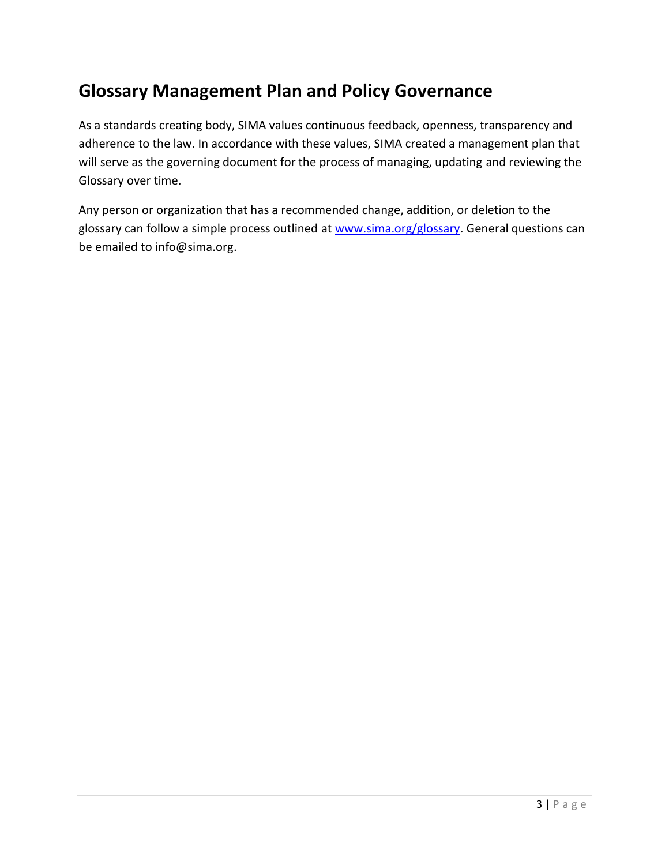# **Glossary Management Plan and Policy Governance**

As a standards creating body, SIMA values continuous feedback, openness, transparency and adherence to the law. In accordance with these values, SIMA created a management plan that will serve as the governing document for the process of managing, updating and reviewing the Glossary over time.

Any person or organization that has a recommended change, addition, or deletion to the glossary can follow a simple process outlined at [www.sima.org/glossary.](http://www.sima.org/glossary) General questions can be emailed to [info@sima.org.](mailto:info@sima.org)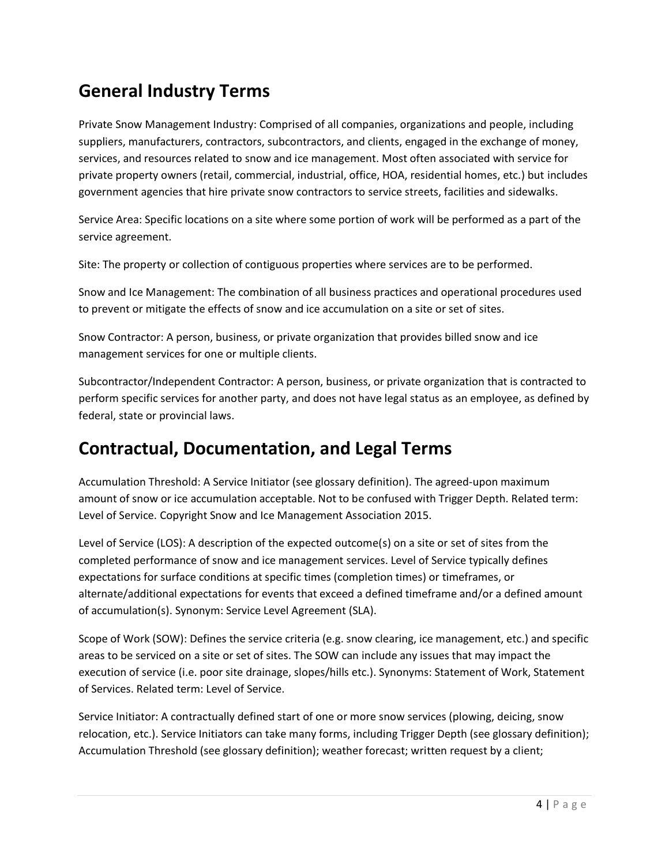# **General Industry Terms**

Private Snow Management Industry: Comprised of all companies, organizations and people, including suppliers, manufacturers, contractors, subcontractors, and clients, engaged in the exchange of money, services, and resources related to snow and ice management. Most often associated with service for private property owners (retail, commercial, industrial, office, HOA, residential homes, etc.) but includes government agencies that hire private snow contractors to service streets, facilities and sidewalks.

Service Area: Specific locations on a site where some portion of work will be performed as a part of the service agreement.

Site: The property or collection of contiguous properties where services are to be performed.

Snow and Ice Management: The combination of all business practices and operational procedures used to prevent or mitigate the effects of snow and ice accumulation on a site or set of sites.

Snow Contractor: A person, business, or private organization that provides billed snow and ice management services for one or multiple clients.

Subcontractor/Independent Contractor: A person, business, or private organization that is contracted to perform specific services for another party, and does not have legal status as an employee, as defined by federal, state or provincial laws.

### **Contractual, Documentation, and Legal Terms**

Accumulation Threshold: A Service Initiator (see glossary definition). The agreed-upon maximum amount of snow or ice accumulation acceptable. Not to be confused with Trigger Depth. Related term: Level of Service. Copyright Snow and Ice Management Association 2015.

Level of Service (LOS): A description of the expected outcome(s) on a site or set of sites from the completed performance of snow and ice management services. Level of Service typically defines expectations for surface conditions at specific times (completion times) or timeframes, or alternate/additional expectations for events that exceed a defined timeframe and/or a defined amount of accumulation(s). Synonym: Service Level Agreement (SLA).

Scope of Work (SOW): Defines the service criteria (e.g. snow clearing, ice management, etc.) and specific areas to be serviced on a site or set of sites. The SOW can include any issues that may impact the execution of service (i.e. poor site drainage, slopes/hills etc.). Synonyms: Statement of Work, Statement of Services. Related term: Level of Service.

Service Initiator: A contractually defined start of one or more snow services (plowing, deicing, snow relocation, etc.). Service Initiators can take many forms, including Trigger Depth (see glossary definition); Accumulation Threshold (see glossary definition); weather forecast; written request by a client;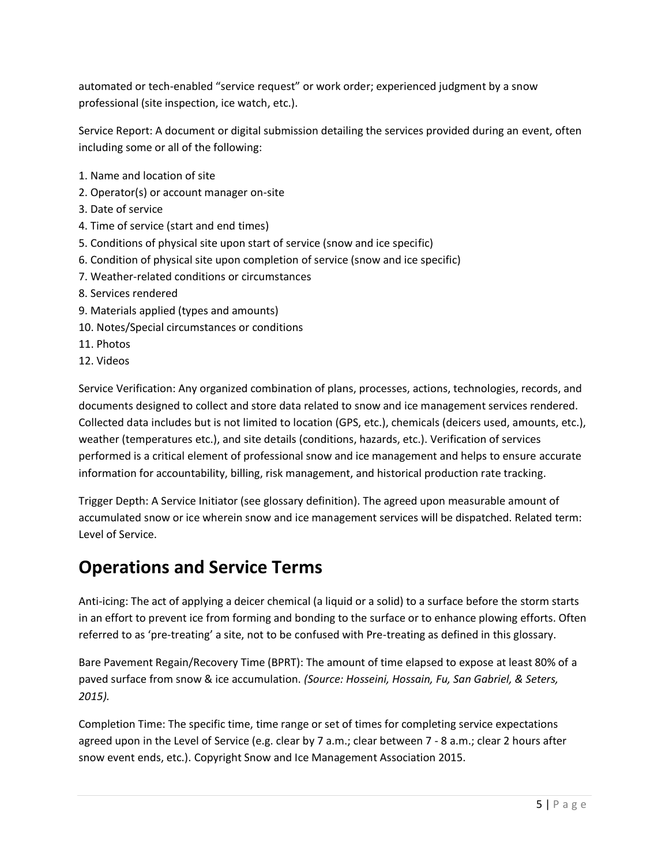automated or tech-enabled "service request" or work order; experienced judgment by a snow professional (site inspection, ice watch, etc.).

Service Report: A document or digital submission detailing the services provided during an event, often including some or all of the following:

- 1. Name and location of site
- 2. Operator(s) or account manager on-site
- 3. Date of service
- 4. Time of service (start and end times)
- 5. Conditions of physical site upon start of service (snow and ice specific)
- 6. Condition of physical site upon completion of service (snow and ice specific)
- 7. Weather-related conditions or circumstances
- 8. Services rendered
- 9. Materials applied (types and amounts)
- 10. Notes/Special circumstances or conditions
- 11. Photos
- 12. Videos

Service Verification: Any organized combination of plans, processes, actions, technologies, records, and documents designed to collect and store data related to snow and ice management services rendered. Collected data includes but is not limited to location (GPS, etc.), chemicals (deicers used, amounts, etc.), weather (temperatures etc.), and site details (conditions, hazards, etc.). Verification of services performed is a critical element of professional snow and ice management and helps to ensure accurate information for accountability, billing, risk management, and historical production rate tracking.

Trigger Depth: A Service Initiator (see glossary definition). The agreed upon measurable amount of accumulated snow or ice wherein snow and ice management services will be dispatched. Related term: Level of Service.

### **Operations and Service Terms**

Anti-icing: The act of applying a deicer chemical (a liquid or a solid) to a surface before the storm starts in an effort to prevent ice from forming and bonding to the surface or to enhance plowing efforts. Often referred to as 'pre-treating' a site, not to be confused with Pre-treating as defined in this glossary.

Bare Pavement Regain/Recovery Time (BPRT): The amount of time elapsed to expose at least 80% of a paved surface from snow & ice accumulation. *(Source: Hosseini, Hossain, Fu, San Gabriel, & Seters, 2015).*

Completion Time: The specific time, time range or set of times for completing service expectations agreed upon in the Level of Service (e.g. clear by 7 a.m.; clear between 7 - 8 a.m.; clear 2 hours after snow event ends, etc.). Copyright Snow and Ice Management Association 2015.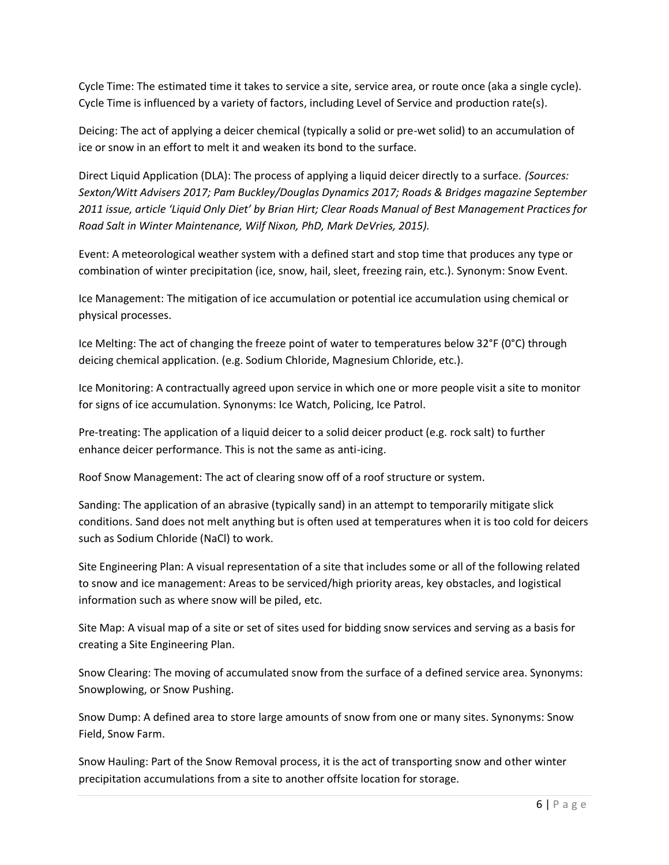Cycle Time: The estimated time it takes to service a site, service area, or route once (aka a single cycle). Cycle Time is influenced by a variety of factors, including Level of Service and production rate(s).

Deicing: The act of applying a deicer chemical (typically a solid or pre-wet solid) to an accumulation of ice or snow in an effort to melt it and weaken its bond to the surface.

Direct Liquid Application (DLA): The process of applying a liquid deicer directly to a surface. *(Sources: Sexton/Witt Advisers 2017; Pam Buckley/Douglas Dynamics 2017; Roads & Bridges magazine September 2011 issue, article 'Liquid Only Diet' by Brian Hirt; Clear Roads Manual of Best Management Practices for Road Salt in Winter Maintenance, Wilf Nixon, PhD, Mark DeVries, 2015).*

Event: A meteorological weather system with a defined start and stop time that produces any type or combination of winter precipitation (ice, snow, hail, sleet, freezing rain, etc.). Synonym: Snow Event.

Ice Management: The mitigation of ice accumulation or potential ice accumulation using chemical or physical processes.

Ice Melting: The act of changing the freeze point of water to temperatures below 32°F (0°C) through deicing chemical application. (e.g. Sodium Chloride, Magnesium Chloride, etc.).

Ice Monitoring: A contractually agreed upon service in which one or more people visit a site to monitor for signs of ice accumulation. Synonyms: Ice Watch, Policing, Ice Patrol.

Pre-treating: The application of a liquid deicer to a solid deicer product (e.g. rock salt) to further enhance deicer performance. This is not the same as anti-icing.

Roof Snow Management: The act of clearing snow off of a roof structure or system.

Sanding: The application of an abrasive (typically sand) in an attempt to temporarily mitigate slick conditions. Sand does not melt anything but is often used at temperatures when it is too cold for deicers such as Sodium Chloride (NaCl) to work.

Site Engineering Plan: A visual representation of a site that includes some or all of the following related to snow and ice management: Areas to be serviced/high priority areas, key obstacles, and logistical information such as where snow will be piled, etc.

Site Map: A visual map of a site or set of sites used for bidding snow services and serving as a basis for creating a Site Engineering Plan.

Snow Clearing: The moving of accumulated snow from the surface of a defined service area. Synonyms: Snowplowing, or Snow Pushing.

Snow Dump: A defined area to store large amounts of snow from one or many sites. Synonyms: Snow Field, Snow Farm.

Snow Hauling: Part of the Snow Removal process, it is the act of transporting snow and other winter precipitation accumulations from a site to another offsite location for storage.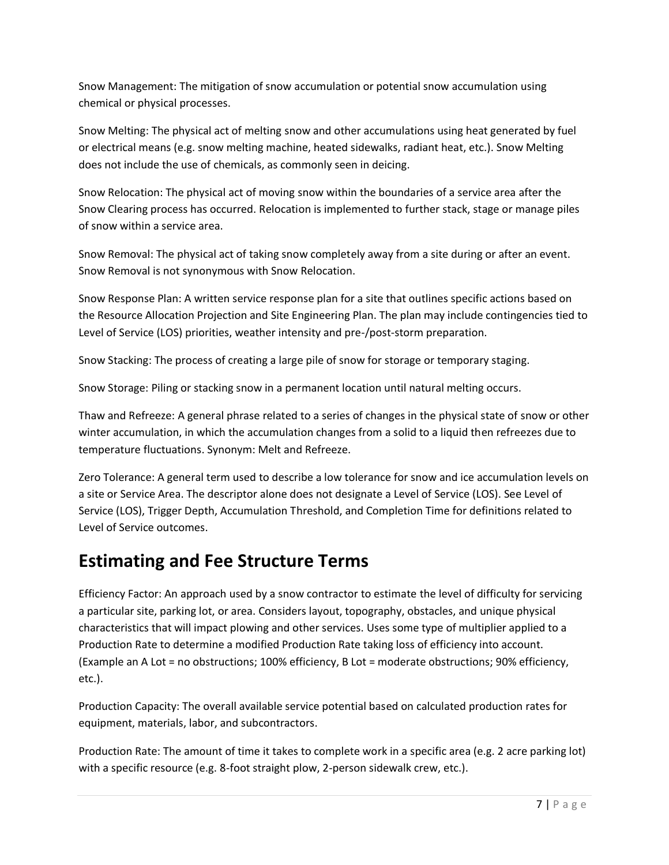Snow Management: The mitigation of snow accumulation or potential snow accumulation using chemical or physical processes.

Snow Melting: The physical act of melting snow and other accumulations using heat generated by fuel or electrical means (e.g. snow melting machine, heated sidewalks, radiant heat, etc.). Snow Melting does not include the use of chemicals, as commonly seen in deicing.

Snow Relocation: The physical act of moving snow within the boundaries of a service area after the Snow Clearing process has occurred. Relocation is implemented to further stack, stage or manage piles of snow within a service area.

Snow Removal: The physical act of taking snow completely away from a site during or after an event. Snow Removal is not synonymous with Snow Relocation.

Snow Response Plan: A written service response plan for a site that outlines specific actions based on the Resource Allocation Projection and Site Engineering Plan. The plan may include contingencies tied to Level of Service (LOS) priorities, weather intensity and pre-/post-storm preparation.

Snow Stacking: The process of creating a large pile of snow for storage or temporary staging.

Snow Storage: Piling or stacking snow in a permanent location until natural melting occurs.

Thaw and Refreeze: A general phrase related to a series of changes in the physical state of snow or other winter accumulation, in which the accumulation changes from a solid to a liquid then refreezes due to temperature fluctuations. Synonym: Melt and Refreeze.

Zero Tolerance: A general term used to describe a low tolerance for snow and ice accumulation levels on a site or Service Area. The descriptor alone does not designate a Level of Service (LOS). See Level of Service (LOS), Trigger Depth, Accumulation Threshold, and Completion Time for definitions related to Level of Service outcomes.

### **Estimating and Fee Structure Terms**

Efficiency Factor: An approach used by a snow contractor to estimate the level of difficulty for servicing a particular site, parking lot, or area. Considers layout, topography, obstacles, and unique physical characteristics that will impact plowing and other services. Uses some type of multiplier applied to a Production Rate to determine a modified Production Rate taking loss of efficiency into account. (Example an A Lot = no obstructions; 100% efficiency, B Lot = moderate obstructions; 90% efficiency, etc.).

Production Capacity: The overall available service potential based on calculated production rates for equipment, materials, labor, and subcontractors.

Production Rate: The amount of time it takes to complete work in a specific area (e.g. 2 acre parking lot) with a specific resource (e.g. 8-foot straight plow, 2-person sidewalk crew, etc.).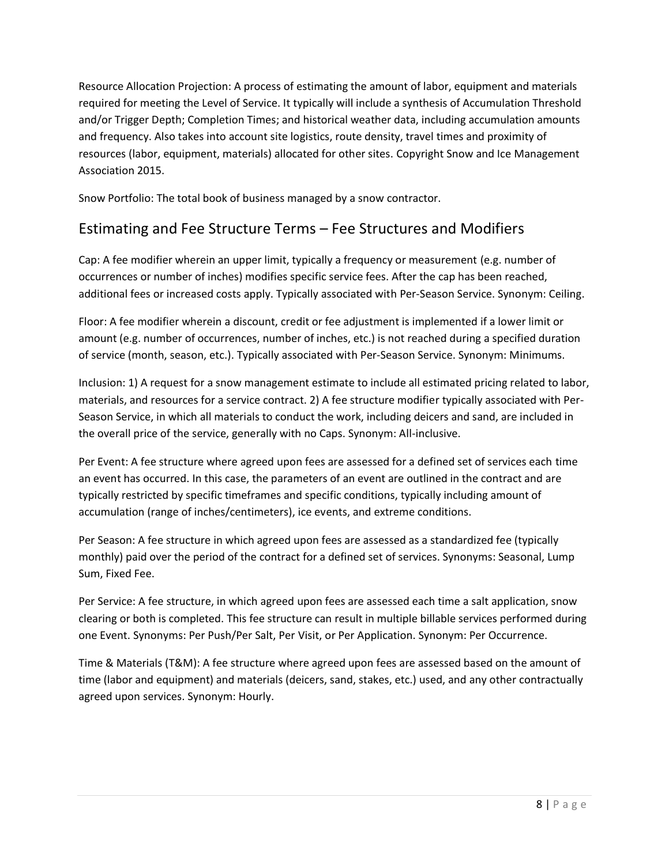Resource Allocation Projection: A process of estimating the amount of labor, equipment and materials required for meeting the Level of Service. It typically will include a synthesis of Accumulation Threshold and/or Trigger Depth; Completion Times; and historical weather data, including accumulation amounts and frequency. Also takes into account site logistics, route density, travel times and proximity of resources (labor, equipment, materials) allocated for other sites. Copyright Snow and Ice Management Association 2015.

Snow Portfolio: The total book of business managed by a snow contractor.

#### Estimating and Fee Structure Terms – Fee Structures and Modifiers

Cap: A fee modifier wherein an upper limit, typically a frequency or measurement (e.g. number of occurrences or number of inches) modifies specific service fees. After the cap has been reached, additional fees or increased costs apply. Typically associated with Per-Season Service. Synonym: Ceiling.

Floor: A fee modifier wherein a discount, credit or fee adjustment is implemented if a lower limit or amount (e.g. number of occurrences, number of inches, etc.) is not reached during a specified duration of service (month, season, etc.). Typically associated with Per-Season Service. Synonym: Minimums.

Inclusion: 1) A request for a snow management estimate to include all estimated pricing related to labor, materials, and resources for a service contract. 2) A fee structure modifier typically associated with Per-Season Service, in which all materials to conduct the work, including deicers and sand, are included in the overall price of the service, generally with no Caps. Synonym: All-inclusive.

Per Event: A fee structure where agreed upon fees are assessed for a defined set of services each time an event has occurred. In this case, the parameters of an event are outlined in the contract and are typically restricted by specific timeframes and specific conditions, typically including amount of accumulation (range of inches/centimeters), ice events, and extreme conditions.

Per Season: A fee structure in which agreed upon fees are assessed as a standardized fee (typically monthly) paid over the period of the contract for a defined set of services. Synonyms: Seasonal, Lump Sum, Fixed Fee.

Per Service: A fee structure, in which agreed upon fees are assessed each time a salt application, snow clearing or both is completed. This fee structure can result in multiple billable services performed during one Event. Synonyms: Per Push/Per Salt, Per Visit, or Per Application. Synonym: Per Occurrence.

Time & Materials (T&M): A fee structure where agreed upon fees are assessed based on the amount of time (labor and equipment) and materials (deicers, sand, stakes, etc.) used, and any other contractually agreed upon services. Synonym: Hourly.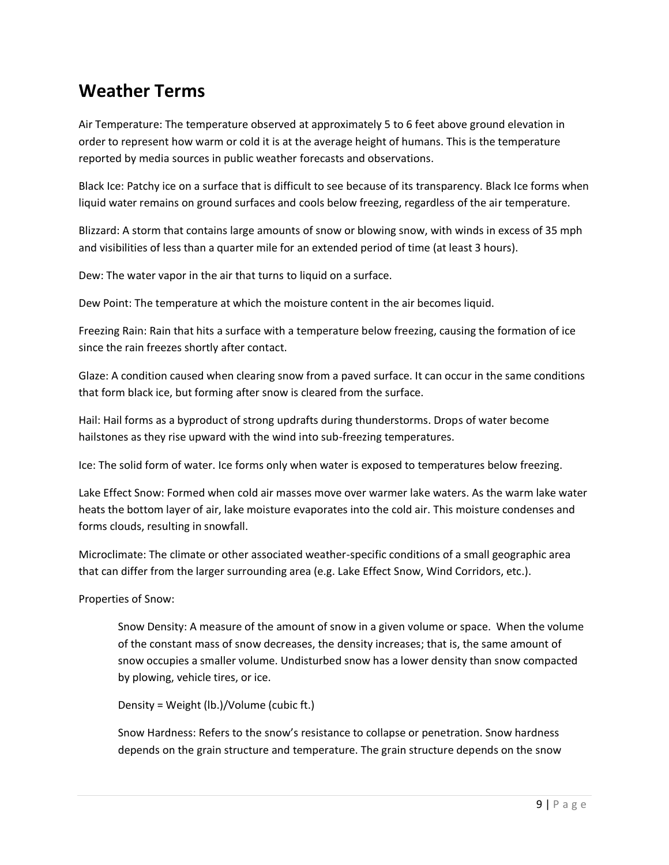### **Weather Terms**

Air Temperature: The temperature observed at approximately 5 to 6 feet above ground elevation in order to represent how warm or cold it is at the average height of humans. This is the temperature reported by media sources in public weather forecasts and observations.

Black Ice: Patchy ice on a surface that is difficult to see because of its transparency. Black Ice forms when liquid water remains on ground surfaces and cools below freezing, regardless of the air temperature.

Blizzard: A storm that contains large amounts of snow or blowing snow, with winds in excess of 35 mph and visibilities of less than a quarter mile for an extended period of time (at least 3 hours).

Dew: The water vapor in the air that turns to liquid on a surface.

Dew Point: The temperature at which the moisture content in the air becomes liquid.

Freezing Rain: Rain that hits a surface with a temperature below freezing, causing the formation of ice since the rain freezes shortly after contact.

Glaze: A condition caused when clearing snow from a paved surface. It can occur in the same conditions that form black ice, but forming after snow is cleared from the surface.

Hail: Hail forms as a byproduct of strong updrafts during thunderstorms. Drops of water become hailstones as they rise upward with the wind into sub-freezing temperatures.

Ice: The solid form of water. Ice forms only when water is exposed to temperatures below freezing.

Lake Effect Snow: Formed when cold air masses move over warmer lake waters. As the warm lake water heats the bottom layer of air, lake moisture evaporates into the cold air. This moisture condenses and forms clouds, resulting in snowfall.

Microclimate: The climate or other associated weather-specific conditions of a small geographic area that can differ from the larger surrounding area (e.g. Lake Effect Snow, Wind Corridors, etc.).

Properties of Snow:

Snow Density: A measure of the amount of snow in a given volume or space. When the volume of the constant mass of snow decreases, the density increases; that is, the same amount of snow occupies a smaller volume. Undisturbed snow has a lower density than snow compacted by plowing, vehicle tires, or ice.

Density = Weight (lb.)/Volume (cubic ft.)

Snow Hardness: Refers to the snow's resistance to collapse or penetration. Snow hardness depends on the grain structure and temperature. The grain structure depends on the snow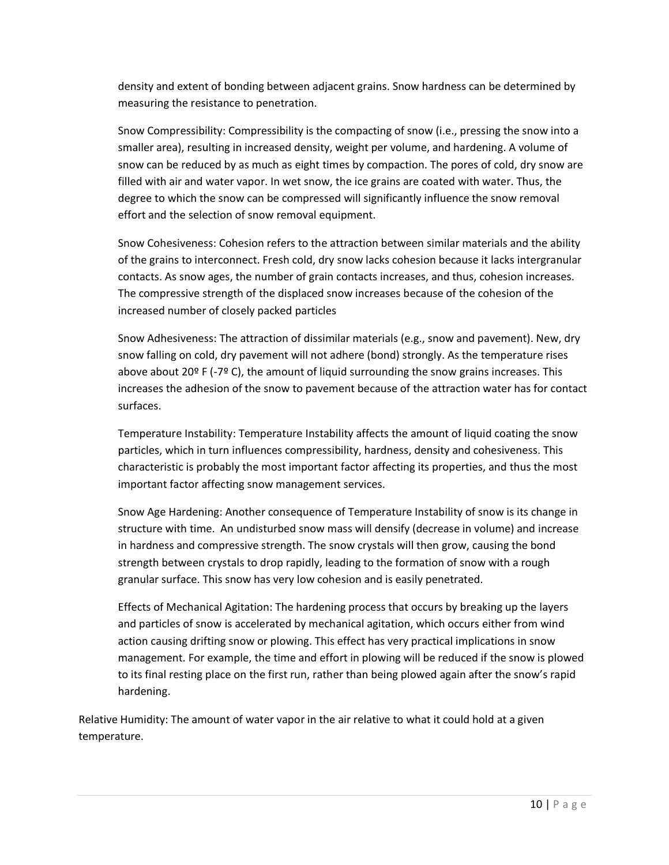density and extent of bonding between adjacent grains. Snow hardness can be determined by measuring the resistance to penetration.

Snow Compressibility: Compressibility is the compacting of snow (i.e., pressing the snow into a smaller area), resulting in increased density, weight per volume, and hardening. A volume of snow can be reduced by as much as eight times by compaction. The pores of cold, dry snow are filled with air and water vapor. In wet snow, the ice grains are coated with water. Thus, the degree to which the snow can be compressed will significantly influence the snow removal effort and the selection of snow removal equipment.

Snow Cohesiveness: Cohesion refers to the attraction between similar materials and the ability of the grains to interconnect. Fresh cold, dry snow lacks cohesion because it lacks intergranular contacts. As snow ages, the number of grain contacts increases, and thus, cohesion increases. The compressive strength of the displaced snow increases because of the cohesion of the increased number of closely packed particles

Snow Adhesiveness: The attraction of dissimilar materials (e.g., snow and pavement). New, dry snow falling on cold, dry pavement will not adhere (bond) strongly. As the temperature rises above about 20 $P$  F (-7 $P$  C), the amount of liquid surrounding the snow grains increases. This increases the adhesion of the snow to pavement because of the attraction water has for contact surfaces.

Temperature Instability: Temperature Instability affects the amount of liquid coating the snow particles, which in turn influences compressibility, hardness, density and cohesiveness. This characteristic is probably the most important factor affecting its properties, and thus the most important factor affecting snow management services.

Snow Age Hardening: Another consequence of Temperature Instability of snow is its change in structure with time. An undisturbed snow mass will densify (decrease in volume) and increase in hardness and compressive strength. The snow crystals will then grow, causing the bond strength between crystals to drop rapidly, leading to the formation of snow with a rough granular surface. This snow has very low cohesion and is easily penetrated.

Effects of Mechanical Agitation: The hardening process that occurs by breaking up the layers and particles of snow is accelerated by mechanical agitation, which occurs either from wind action causing drifting snow or plowing. This effect has very practical implications in snow management. For example, the time and effort in plowing will be reduced if the snow is plowed to its final resting place on the first run, rather than being plowed again after the snow's rapid hardening.

Relative Humidity: The amount of water vapor in the air relative to what it could hold at a given temperature.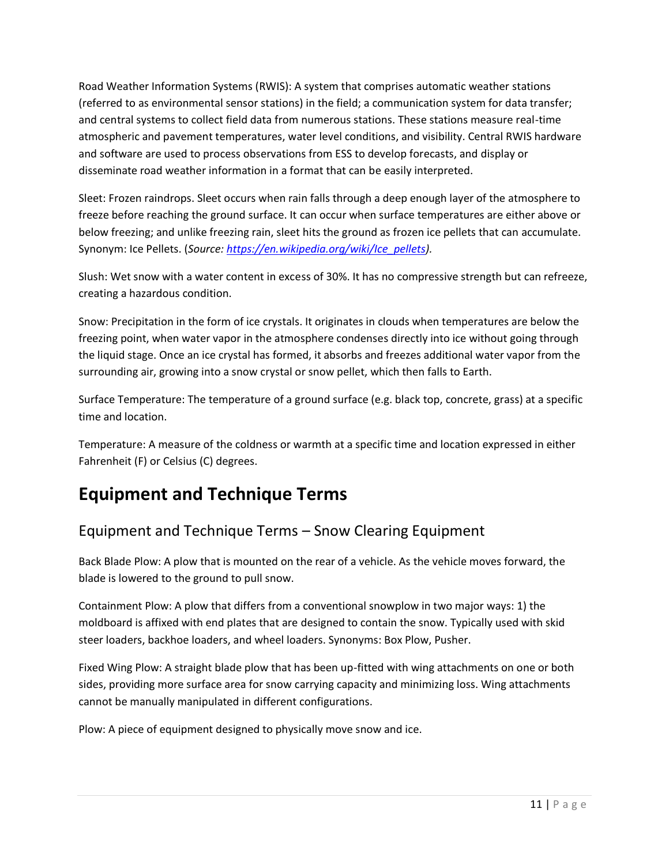Road Weather Information Systems (RWIS): A system that comprises automatic weather stations (referred to as environmental sensor stations) in the field; a communication system for data transfer; and central systems to collect field data from numerous stations. These stations measure real-time atmospheric and pavement temperatures, water level conditions, and visibility. Central RWIS hardware and software are used to process observations from ESS to develop forecasts, and display or disseminate road weather information in a format that can be easily interpreted.

Sleet: Frozen raindrops. Sleet occurs when rain falls through a deep enough layer of the atmosphere to freeze before reaching the ground surface. It can occur when surface temperatures are either above or below freezing; and unlike freezing rain, sleet hits the ground as frozen ice pellets that can accumulate. Synonym: Ice Pellets. (*Source: [https://en.wikipedia.org/wiki/Ice\\_pellets\)](https://en.wikipedia.org/wiki/Ice_pellets).*

Slush: Wet snow with a water content in excess of 30%. It has no compressive strength but can refreeze, creating a hazardous condition.

Snow: Precipitation in the form of ice crystals. It originates in clouds when temperatures are below the freezing point, when water vapor in the atmosphere condenses directly into ice without going through the liquid stage. Once an ice crystal has formed, it absorbs and freezes additional water vapor from the surrounding air, growing into a snow crystal or snow pellet, which then falls to Earth.

Surface Temperature: The temperature of a ground surface (e.g. black top, concrete, grass) at a specific time and location.

Temperature: A measure of the coldness or warmth at a specific time and location expressed in either Fahrenheit (F) or Celsius (C) degrees.

### **Equipment and Technique Terms**

#### Equipment and Technique Terms – Snow Clearing Equipment

Back Blade Plow: A plow that is mounted on the rear of a vehicle. As the vehicle moves forward, the blade is lowered to the ground to pull snow.

Containment Plow: A plow that differs from a conventional snowplow in two major ways: 1) the moldboard is affixed with end plates that are designed to contain the snow. Typically used with skid steer loaders, backhoe loaders, and wheel loaders. Synonyms: Box Plow, Pusher.

Fixed Wing Plow: A straight blade plow that has been up-fitted with wing attachments on one or both sides, providing more surface area for snow carrying capacity and minimizing loss. Wing attachments cannot be manually manipulated in different configurations.

Plow: A piece of equipment designed to physically move snow and ice.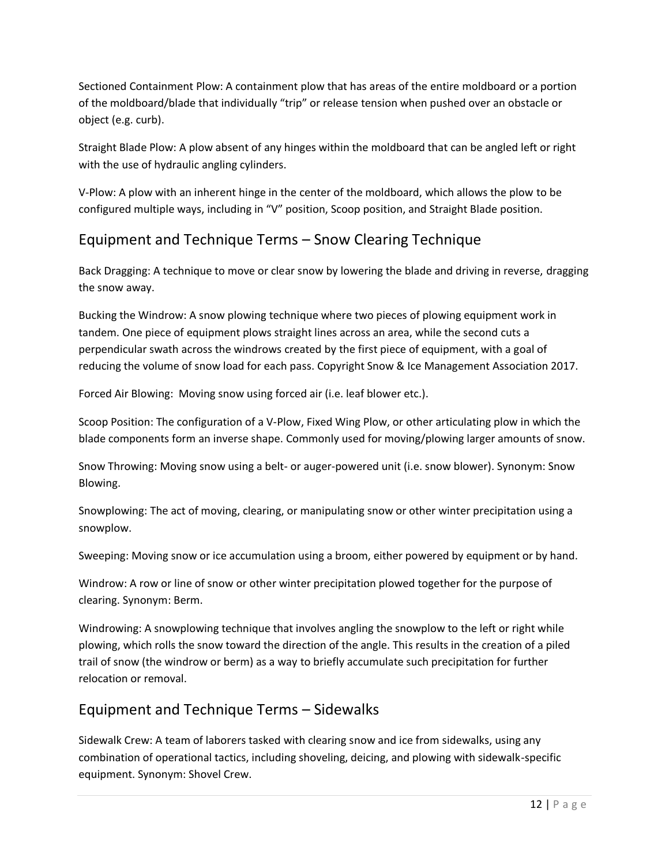Sectioned Containment Plow: A containment plow that has areas of the entire moldboard or a portion of the moldboard/blade that individually "trip" or release tension when pushed over an obstacle or object (e.g. curb).

Straight Blade Plow: A plow absent of any hinges within the moldboard that can be angled left or right with the use of hydraulic angling cylinders.

V-Plow: A plow with an inherent hinge in the center of the moldboard, which allows the plow to be configured multiple ways, including in "V" position, Scoop position, and Straight Blade position.

#### Equipment and Technique Terms – Snow Clearing Technique

Back Dragging: A technique to move or clear snow by lowering the blade and driving in reverse, dragging the snow away.

Bucking the Windrow: A snow plowing technique where two pieces of plowing equipment work in tandem. One piece of equipment plows straight lines across an area, while the second cuts a perpendicular swath across the windrows created by the first piece of equipment, with a goal of reducing the volume of snow load for each pass. Copyright Snow & Ice Management Association 2017.

Forced Air Blowing: Moving snow using forced air (i.e. leaf blower etc.).

Scoop Position: The configuration of a V-Plow, Fixed Wing Plow, or other articulating plow in which the blade components form an inverse shape. Commonly used for moving/plowing larger amounts of snow.

Snow Throwing: Moving snow using a belt- or auger-powered unit (i.e. snow blower). Synonym: Snow Blowing.

Snowplowing: The act of moving, clearing, or manipulating snow or other winter precipitation using a snowplow.

Sweeping: Moving snow or ice accumulation using a broom, either powered by equipment or by hand.

Windrow: A row or line of snow or other winter precipitation plowed together for the purpose of clearing. Synonym: Berm.

Windrowing: A snowplowing technique that involves angling the snowplow to the left or right while plowing, which rolls the snow toward the direction of the angle. This results in the creation of a piled trail of snow (the windrow or berm) as a way to briefly accumulate such precipitation for further relocation or removal.

#### Equipment and Technique Terms – Sidewalks

Sidewalk Crew: A team of laborers tasked with clearing snow and ice from sidewalks, using any combination of operational tactics, including shoveling, deicing, and plowing with sidewalk-specific equipment. Synonym: Shovel Crew.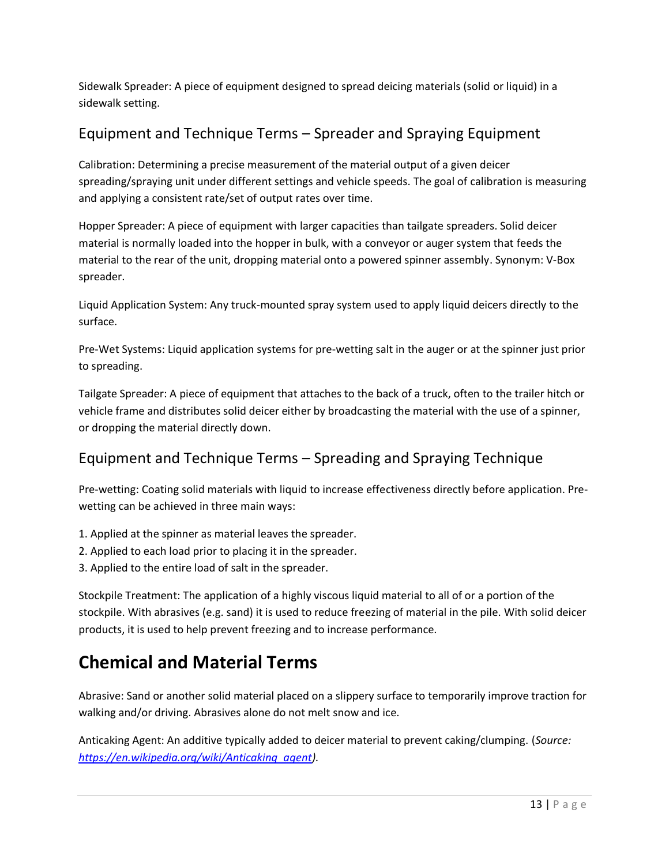Sidewalk Spreader: A piece of equipment designed to spread deicing materials (solid or liquid) in a sidewalk setting.

#### Equipment and Technique Terms – Spreader and Spraying Equipment

Calibration: Determining a precise measurement of the material output of a given deicer spreading/spraying unit under different settings and vehicle speeds. The goal of calibration is measuring and applying a consistent rate/set of output rates over time.

Hopper Spreader: A piece of equipment with larger capacities than tailgate spreaders. Solid deicer material is normally loaded into the hopper in bulk, with a conveyor or auger system that feeds the material to the rear of the unit, dropping material onto a powered spinner assembly. Synonym: V-Box spreader.

Liquid Application System: Any truck-mounted spray system used to apply liquid deicers directly to the surface.

Pre-Wet Systems: Liquid application systems for pre-wetting salt in the auger or at the spinner just prior to spreading.

Tailgate Spreader: A piece of equipment that attaches to the back of a truck, often to the trailer hitch or vehicle frame and distributes solid deicer either by broadcasting the material with the use of a spinner, or dropping the material directly down.

### Equipment and Technique Terms – Spreading and Spraying Technique

Pre-wetting: Coating solid materials with liquid to increase effectiveness directly before application. Prewetting can be achieved in three main ways:

- 1. Applied at the spinner as material leaves the spreader.
- 2. Applied to each load prior to placing it in the spreader.
- 3. Applied to the entire load of salt in the spreader.

Stockpile Treatment: The application of a highly viscous liquid material to all of or a portion of the stockpile. With abrasives (e.g. sand) it is used to reduce freezing of material in the pile. With solid deicer products, it is used to help prevent freezing and to increase performance.

# **Chemical and Material Terms**

Abrasive: Sand or another solid material placed on a slippery surface to temporarily improve traction for walking and/or driving. Abrasives alone do not melt snow and ice.

Anticaking Agent: An additive typically added to deicer material to prevent caking/clumping. (*Source: [https://en.wikipedia.org/wiki/Anticaking\\_agent\)](https://en.wikipedia.org/wiki/Anticaking_agent).*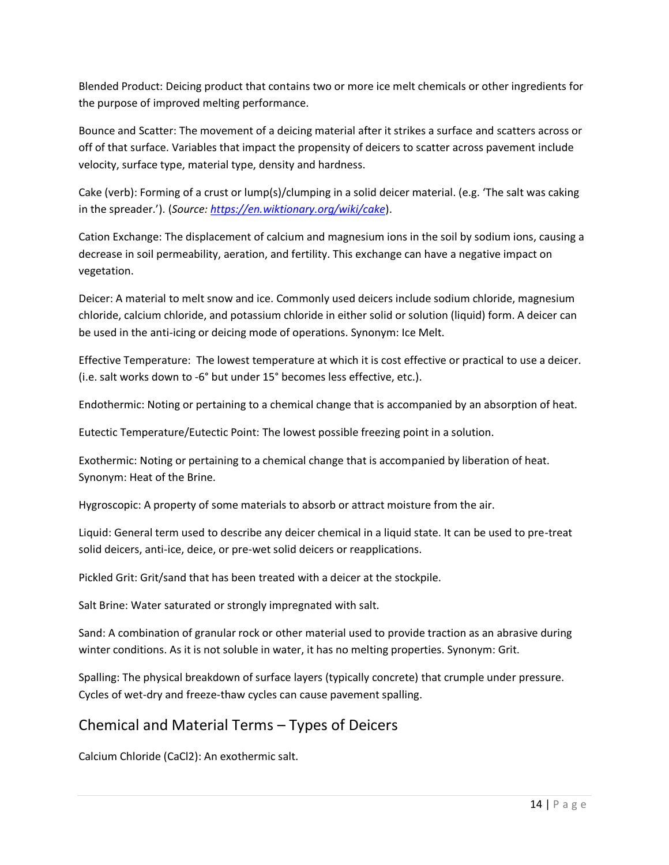Blended Product: Deicing product that contains two or more ice melt chemicals or other ingredients for the purpose of improved melting performance.

Bounce and Scatter: The movement of a deicing material after it strikes a surface and scatters across or off of that surface. Variables that impact the propensity of deicers to scatter across pavement include velocity, surface type, material type, density and hardness.

Cake (verb): Forming of a crust or lump(s)/clumping in a solid deicer material. (e.g. 'The salt was caking in the spreader.'). (*Source[: https://en.wiktionary.org/wiki/cake](https://en.wiktionary.org/wiki/cake)*).

Cation Exchange: The displacement of calcium and magnesium ions in the soil by sodium ions, causing a decrease in soil permeability, aeration, and fertility. This exchange can have a negative impact on vegetation.

Deicer: A material to melt snow and ice. Commonly used deicers include sodium chloride, magnesium chloride, calcium chloride, and potassium chloride in either solid or solution (liquid) form. A deicer can be used in the anti-icing or deicing mode of operations. Synonym: Ice Melt.

Effective Temperature: The lowest temperature at which it is cost effective or practical to use a deicer. (i.e. salt works down to -6° but under 15° becomes less effective, etc.).

Endothermic: Noting or pertaining to a chemical change that is accompanied by an absorption of heat.

Eutectic Temperature/Eutectic Point: The lowest possible freezing point in a solution.

Exothermic: Noting or pertaining to a chemical change that is accompanied by liberation of heat. Synonym: Heat of the Brine.

Hygroscopic: A property of some materials to absorb or attract moisture from the air.

Liquid: General term used to describe any deicer chemical in a liquid state. It can be used to pre-treat solid deicers, anti-ice, deice, or pre-wet solid deicers or reapplications.

Pickled Grit: Grit/sand that has been treated with a deicer at the stockpile.

Salt Brine: Water saturated or strongly impregnated with salt.

Sand: A combination of granular rock or other material used to provide traction as an abrasive during winter conditions. As it is not soluble in water, it has no melting properties. Synonym: Grit.

Spalling: The physical breakdown of surface layers (typically concrete) that crumple under pressure. Cycles of wet-dry and freeze-thaw cycles can cause pavement spalling.

#### Chemical and Material Terms – Types of Deicers

Calcium Chloride (CaCl2): An exothermic salt.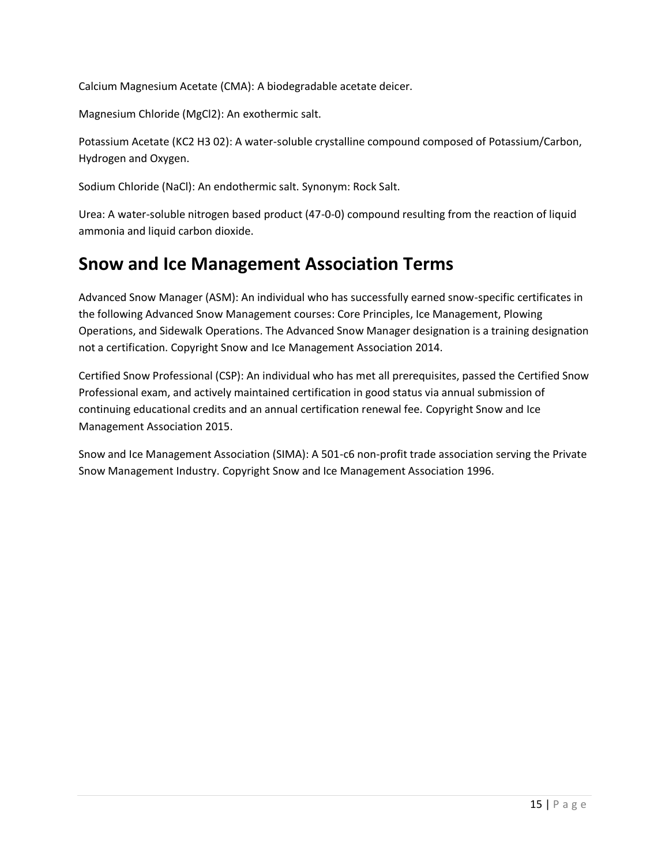Calcium Magnesium Acetate (CMA): A biodegradable acetate deicer.

Magnesium Chloride (MgCl2): An exothermic salt.

Potassium Acetate (KC2 H3 02): A water-soluble crystalline compound composed of Potassium/Carbon, Hydrogen and Oxygen.

Sodium Chloride (NaCl): An endothermic salt. Synonym: Rock Salt.

Urea: A water-soluble nitrogen based product (47-0-0) compound resulting from the reaction of liquid ammonia and liquid carbon dioxide.

### **Snow and Ice Management Association Terms**

Advanced Snow Manager (ASM): An individual who has successfully earned snow-specific certificates in the following Advanced Snow Management courses: Core Principles, Ice Management, Plowing Operations, and Sidewalk Operations. The Advanced Snow Manager designation is a training designation not a certification. Copyright Snow and Ice Management Association 2014.

Certified Snow Professional (CSP): An individual who has met all prerequisites, passed the Certified Snow Professional exam, and actively maintained certification in good status via annual submission of continuing educational credits and an annual certification renewal fee. Copyright Snow and Ice Management Association 2015.

Snow and Ice Management Association (SIMA): A 501-c6 non-profit trade association serving the Private Snow Management Industry. Copyright Snow and Ice Management Association 1996.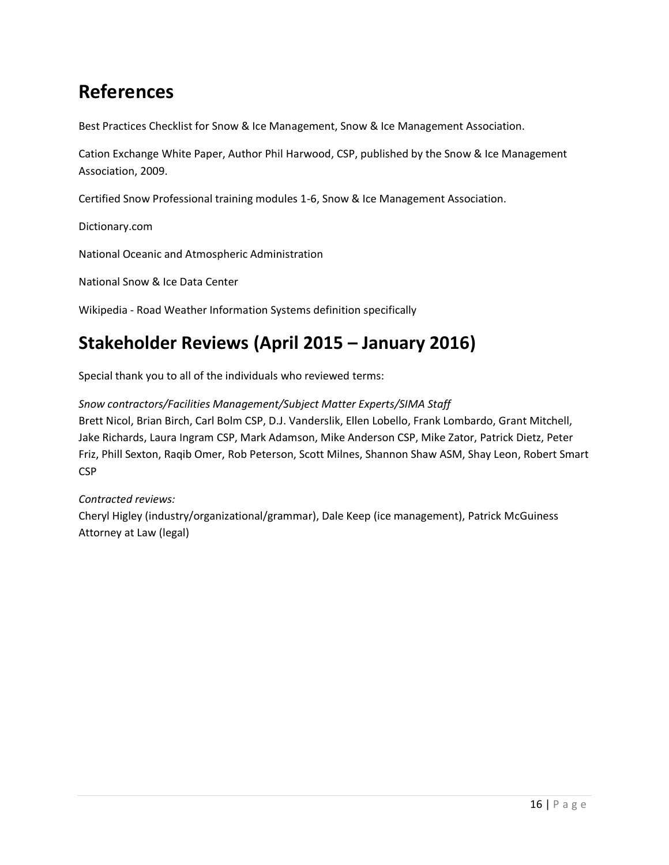# **References**

Best Practices Checklist for Snow & Ice Management, Snow & Ice Management Association.

Cation Exchange White Paper, Author Phil Harwood, CSP, published by the Snow & Ice Management Association, 2009.

Certified Snow Professional training modules 1-6, Snow & Ice Management Association.

Dictionary.com

National Oceanic and Atmospheric Administration

National Snow & Ice Data Center

Wikipedia - Road Weather Information Systems definition specifically

# **Stakeholder Reviews (April 2015 – January 2016)**

Special thank you to all of the individuals who reviewed terms:

*Snow contractors/Facilities Management/Subject Matter Experts/SIMA Staff*

Brett Nicol, Brian Birch, Carl Bolm CSP, D.J. Vanderslik, Ellen Lobello, Frank Lombardo, Grant Mitchell, Jake Richards, Laura Ingram CSP, Mark Adamson, Mike Anderson CSP, Mike Zator, Patrick Dietz, Peter Friz, Phill Sexton, Raqib Omer, Rob Peterson, Scott Milnes, Shannon Shaw ASM, Shay Leon, Robert Smart CSP

#### *Contracted reviews:*

Cheryl Higley (industry/organizational/grammar), Dale Keep (ice management), Patrick McGuiness Attorney at Law (legal)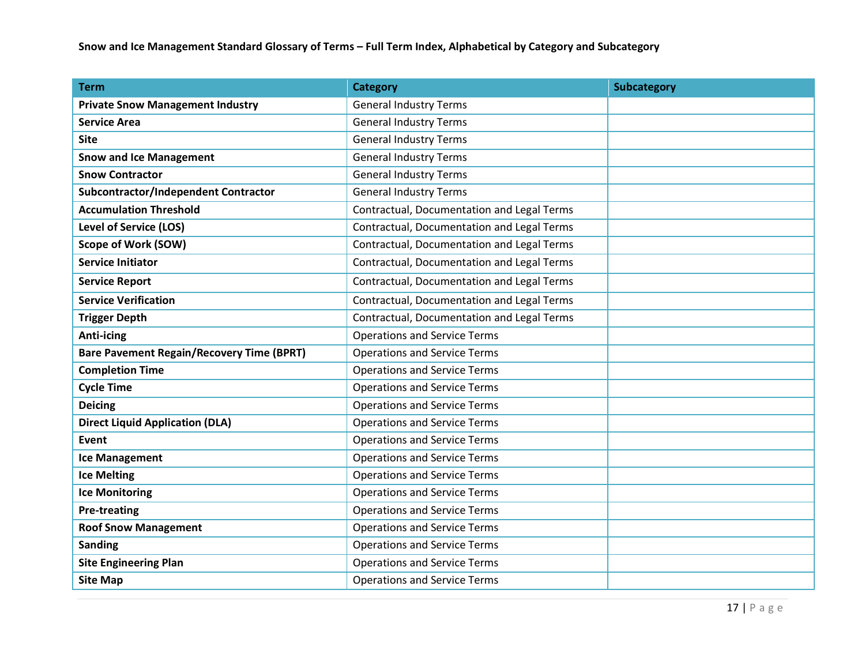**Snow and Ice Management Standard Glossary of Terms – Full Term Index, Alphabetical by Category and Subcategory**

| <b>Term</b>                                      | <b>Category</b>                            | <b>Subcategory</b> |
|--------------------------------------------------|--------------------------------------------|--------------------|
| <b>Private Snow Management Industry</b>          | <b>General Industry Terms</b>              |                    |
| <b>Service Area</b>                              | <b>General Industry Terms</b>              |                    |
| <b>Site</b>                                      | <b>General Industry Terms</b>              |                    |
| <b>Snow and Ice Management</b>                   | <b>General Industry Terms</b>              |                    |
| <b>Snow Contractor</b>                           | <b>General Industry Terms</b>              |                    |
| <b>Subcontractor/Independent Contractor</b>      | <b>General Industry Terms</b>              |                    |
| <b>Accumulation Threshold</b>                    | Contractual, Documentation and Legal Terms |                    |
| <b>Level of Service (LOS)</b>                    | Contractual, Documentation and Legal Terms |                    |
| <b>Scope of Work (SOW)</b>                       | Contractual, Documentation and Legal Terms |                    |
| <b>Service Initiator</b>                         | Contractual, Documentation and Legal Terms |                    |
| <b>Service Report</b>                            | Contractual, Documentation and Legal Terms |                    |
| <b>Service Verification</b>                      | Contractual, Documentation and Legal Terms |                    |
| <b>Trigger Depth</b>                             | Contractual, Documentation and Legal Terms |                    |
| <b>Anti-icing</b>                                | <b>Operations and Service Terms</b>        |                    |
| <b>Bare Pavement Regain/Recovery Time (BPRT)</b> | <b>Operations and Service Terms</b>        |                    |
| <b>Completion Time</b>                           | <b>Operations and Service Terms</b>        |                    |
| <b>Cycle Time</b>                                | <b>Operations and Service Terms</b>        |                    |
| <b>Deicing</b>                                   | <b>Operations and Service Terms</b>        |                    |
| <b>Direct Liquid Application (DLA)</b>           | <b>Operations and Service Terms</b>        |                    |
| <b>Event</b>                                     | <b>Operations and Service Terms</b>        |                    |
| <b>Ice Management</b>                            | <b>Operations and Service Terms</b>        |                    |
| <b>Ice Melting</b>                               | <b>Operations and Service Terms</b>        |                    |
| <b>Ice Monitoring</b>                            | <b>Operations and Service Terms</b>        |                    |
| <b>Pre-treating</b>                              | <b>Operations and Service Terms</b>        |                    |
| <b>Roof Snow Management</b>                      | <b>Operations and Service Terms</b>        |                    |
| <b>Sanding</b>                                   | <b>Operations and Service Terms</b>        |                    |
| <b>Site Engineering Plan</b>                     | <b>Operations and Service Terms</b>        |                    |
| <b>Site Map</b>                                  | <b>Operations and Service Terms</b>        |                    |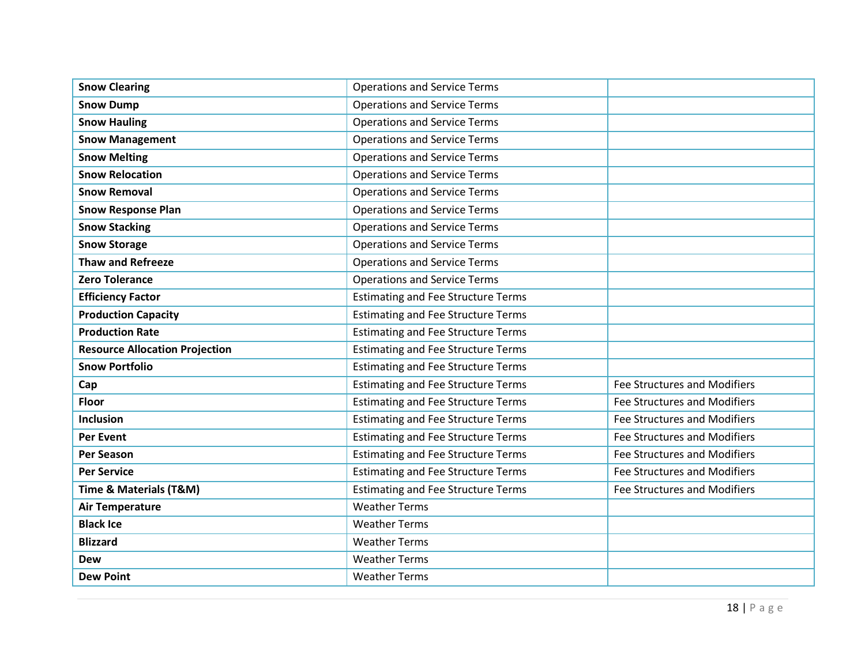| <b>Snow Clearing</b>                  | <b>Operations and Service Terms</b>       |                                     |
|---------------------------------------|-------------------------------------------|-------------------------------------|
| <b>Snow Dump</b>                      | <b>Operations and Service Terms</b>       |                                     |
| <b>Snow Hauling</b>                   | <b>Operations and Service Terms</b>       |                                     |
| <b>Snow Management</b>                | <b>Operations and Service Terms</b>       |                                     |
| <b>Snow Melting</b>                   | <b>Operations and Service Terms</b>       |                                     |
| <b>Snow Relocation</b>                | <b>Operations and Service Terms</b>       |                                     |
| <b>Snow Removal</b>                   | <b>Operations and Service Terms</b>       |                                     |
| <b>Snow Response Plan</b>             | <b>Operations and Service Terms</b>       |                                     |
| <b>Snow Stacking</b>                  | <b>Operations and Service Terms</b>       |                                     |
| <b>Snow Storage</b>                   | <b>Operations and Service Terms</b>       |                                     |
| <b>Thaw and Refreeze</b>              | <b>Operations and Service Terms</b>       |                                     |
| <b>Zero Tolerance</b>                 | <b>Operations and Service Terms</b>       |                                     |
| <b>Efficiency Factor</b>              | <b>Estimating and Fee Structure Terms</b> |                                     |
| <b>Production Capacity</b>            | <b>Estimating and Fee Structure Terms</b> |                                     |
| <b>Production Rate</b>                | <b>Estimating and Fee Structure Terms</b> |                                     |
| <b>Resource Allocation Projection</b> | <b>Estimating and Fee Structure Terms</b> |                                     |
| <b>Snow Portfolio</b>                 | <b>Estimating and Fee Structure Terms</b> |                                     |
| Cap                                   | <b>Estimating and Fee Structure Terms</b> | Fee Structures and Modifiers        |
| <b>Floor</b>                          | <b>Estimating and Fee Structure Terms</b> | <b>Fee Structures and Modifiers</b> |
| <b>Inclusion</b>                      | <b>Estimating and Fee Structure Terms</b> | <b>Fee Structures and Modifiers</b> |
| <b>Per Event</b>                      | <b>Estimating and Fee Structure Terms</b> | <b>Fee Structures and Modifiers</b> |
| <b>Per Season</b>                     | <b>Estimating and Fee Structure Terms</b> | <b>Fee Structures and Modifiers</b> |
| <b>Per Service</b>                    | <b>Estimating and Fee Structure Terms</b> | <b>Fee Structures and Modifiers</b> |
| Time & Materials (T&M)                | <b>Estimating and Fee Structure Terms</b> | <b>Fee Structures and Modifiers</b> |
| <b>Air Temperature</b>                | <b>Weather Terms</b>                      |                                     |
| <b>Black Ice</b>                      | <b>Weather Terms</b>                      |                                     |
| <b>Blizzard</b>                       | <b>Weather Terms</b>                      |                                     |
| <b>Dew</b>                            | <b>Weather Terms</b>                      |                                     |
| <b>Dew Point</b>                      | <b>Weather Terms</b>                      |                                     |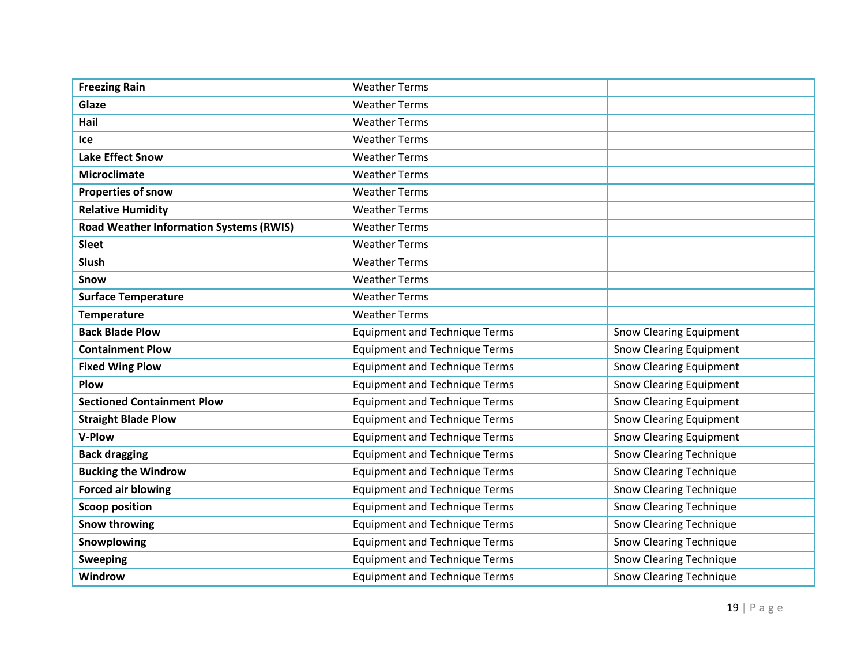| <b>Freezing Rain</b>                           | <b>Weather Terms</b>                 |                                |
|------------------------------------------------|--------------------------------------|--------------------------------|
| Glaze                                          | <b>Weather Terms</b>                 |                                |
| Hail                                           | <b>Weather Terms</b>                 |                                |
| Ice                                            | <b>Weather Terms</b>                 |                                |
| <b>Lake Effect Snow</b>                        | <b>Weather Terms</b>                 |                                |
| <b>Microclimate</b>                            | <b>Weather Terms</b>                 |                                |
| <b>Properties of snow</b>                      | <b>Weather Terms</b>                 |                                |
| <b>Relative Humidity</b>                       | <b>Weather Terms</b>                 |                                |
| <b>Road Weather Information Systems (RWIS)</b> | <b>Weather Terms</b>                 |                                |
| <b>Sleet</b>                                   | <b>Weather Terms</b>                 |                                |
| <b>Slush</b>                                   | <b>Weather Terms</b>                 |                                |
| Snow                                           | <b>Weather Terms</b>                 |                                |
| <b>Surface Temperature</b>                     | <b>Weather Terms</b>                 |                                |
| <b>Temperature</b>                             | <b>Weather Terms</b>                 |                                |
| <b>Back Blade Plow</b>                         | <b>Equipment and Technique Terms</b> | <b>Snow Clearing Equipment</b> |
| <b>Containment Plow</b>                        | <b>Equipment and Technique Terms</b> | <b>Snow Clearing Equipment</b> |
| <b>Fixed Wing Plow</b>                         | <b>Equipment and Technique Terms</b> | <b>Snow Clearing Equipment</b> |
| Plow                                           | <b>Equipment and Technique Terms</b> | <b>Snow Clearing Equipment</b> |
| <b>Sectioned Containment Plow</b>              | <b>Equipment and Technique Terms</b> | <b>Snow Clearing Equipment</b> |
| <b>Straight Blade Plow</b>                     | <b>Equipment and Technique Terms</b> | <b>Snow Clearing Equipment</b> |
| V-Plow                                         | <b>Equipment and Technique Terms</b> | <b>Snow Clearing Equipment</b> |
| <b>Back dragging</b>                           | <b>Equipment and Technique Terms</b> | <b>Snow Clearing Technique</b> |
| <b>Bucking the Windrow</b>                     | <b>Equipment and Technique Terms</b> | <b>Snow Clearing Technique</b> |
| <b>Forced air blowing</b>                      | <b>Equipment and Technique Terms</b> | <b>Snow Clearing Technique</b> |
| <b>Scoop position</b>                          | <b>Equipment and Technique Terms</b> | <b>Snow Clearing Technique</b> |
| <b>Snow throwing</b>                           | <b>Equipment and Technique Terms</b> | <b>Snow Clearing Technique</b> |
| Snowplowing                                    | <b>Equipment and Technique Terms</b> | <b>Snow Clearing Technique</b> |
| <b>Sweeping</b>                                | <b>Equipment and Technique Terms</b> | <b>Snow Clearing Technique</b> |
| Windrow                                        | <b>Equipment and Technique Terms</b> | <b>Snow Clearing Technique</b> |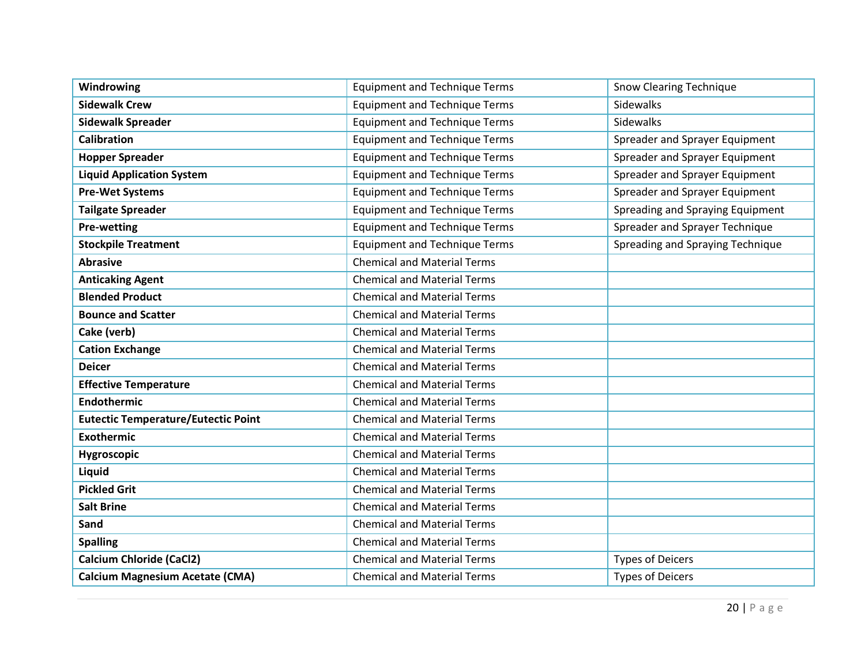| Windrowing                                 | <b>Equipment and Technique Terms</b> | <b>Snow Clearing Technique</b>   |
|--------------------------------------------|--------------------------------------|----------------------------------|
| <b>Sidewalk Crew</b>                       | <b>Equipment and Technique Terms</b> | Sidewalks                        |
| <b>Sidewalk Spreader</b>                   | <b>Equipment and Technique Terms</b> | Sidewalks                        |
| <b>Calibration</b>                         | <b>Equipment and Technique Terms</b> | Spreader and Sprayer Equipment   |
| <b>Hopper Spreader</b>                     | <b>Equipment and Technique Terms</b> | Spreader and Sprayer Equipment   |
| <b>Liquid Application System</b>           | <b>Equipment and Technique Terms</b> | Spreader and Sprayer Equipment   |
| <b>Pre-Wet Systems</b>                     | <b>Equipment and Technique Terms</b> | Spreader and Sprayer Equipment   |
| <b>Tailgate Spreader</b>                   | <b>Equipment and Technique Terms</b> | Spreading and Spraying Equipment |
| <b>Pre-wetting</b>                         | <b>Equipment and Technique Terms</b> | Spreader and Sprayer Technique   |
| <b>Stockpile Treatment</b>                 | <b>Equipment and Technique Terms</b> | Spreading and Spraying Technique |
| <b>Abrasive</b>                            | <b>Chemical and Material Terms</b>   |                                  |
| <b>Anticaking Agent</b>                    | <b>Chemical and Material Terms</b>   |                                  |
| <b>Blended Product</b>                     | <b>Chemical and Material Terms</b>   |                                  |
| <b>Bounce and Scatter</b>                  | <b>Chemical and Material Terms</b>   |                                  |
| Cake (verb)                                | <b>Chemical and Material Terms</b>   |                                  |
| <b>Cation Exchange</b>                     | <b>Chemical and Material Terms</b>   |                                  |
| <b>Deicer</b>                              | <b>Chemical and Material Terms</b>   |                                  |
| <b>Effective Temperature</b>               | <b>Chemical and Material Terms</b>   |                                  |
| Endothermic                                | <b>Chemical and Material Terms</b>   |                                  |
| <b>Eutectic Temperature/Eutectic Point</b> | <b>Chemical and Material Terms</b>   |                                  |
| <b>Exothermic</b>                          | <b>Chemical and Material Terms</b>   |                                  |
| Hygroscopic                                | <b>Chemical and Material Terms</b>   |                                  |
| Liquid                                     | <b>Chemical and Material Terms</b>   |                                  |
| <b>Pickled Grit</b>                        | <b>Chemical and Material Terms</b>   |                                  |
| <b>Salt Brine</b>                          | <b>Chemical and Material Terms</b>   |                                  |
| Sand                                       | <b>Chemical and Material Terms</b>   |                                  |
| <b>Spalling</b>                            | <b>Chemical and Material Terms</b>   |                                  |
| <b>Calcium Chloride (CaCl2)</b>            | <b>Chemical and Material Terms</b>   | <b>Types of Deicers</b>          |
| <b>Calcium Magnesium Acetate (CMA)</b>     | <b>Chemical and Material Terms</b>   | <b>Types of Deicers</b>          |